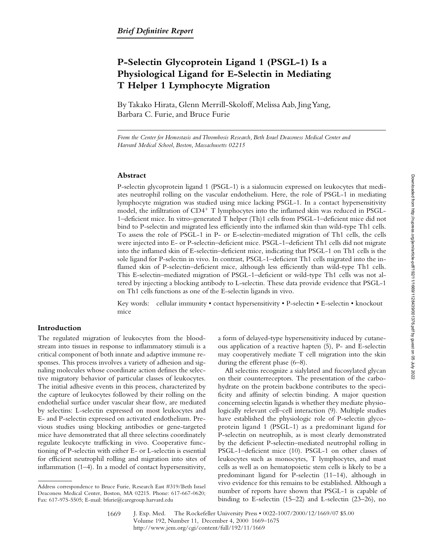# **P-Selectin Glycoprotein Ligand 1 (PSGL-1) Is a Physiological Ligand for E-Selectin in Mediating T Helper 1 Lymphocyte Migration**

By Takako Hirata, Glenn Merrill-Skoloff, Melissa Aab, Jing Yang, Barbara C. Furie, and Bruce Furie

*From the Center for Hemostasis and Thrombosis Research, Beth Israel Deaconess Medical Center and Harvard Medical School, Boston, Massachusetts 02215*

## **Abstract**

P-selectin glycoprotein ligand 1 (PSGL-1) is a sialomucin expressed on leukocytes that mediates neutrophil rolling on the vascular endothelium. Here, the role of PSGL-1 in mediating lymphocyte migration was studied using mice lacking PSGL-1. In a contact hypersensitivity model, the infiltration of  $CD4^+$  T lymphocytes into the inflamed skin was reduced in PSGL-1–deficient mice. In vitro–generated T helper (Th)1 cells from PSGL-1–deficient mice did not bind to P-selectin and migrated less efficiently into the inflamed skin than wild-type Th1 cells. To assess the role of PSGL-1 in P- or E-selectin–mediated migration of Th1 cells, the cells were injected into E- or P-selectin–deficient mice. PSGL-1–deficient Th1 cells did not migrate into the inflamed skin of E-selectin–deficient mice, indicating that PSGL-1 on Th1 cells is the sole ligand for P-selectin in vivo. In contrast, PSGL-1–deficient Th1 cells migrated into the inflamed skin of P-selectin–deficient mice, although less efficiently than wild-type Th1 cells. This E-selectin–mediated migration of PSGL-1–deficient or wild-type Th1 cells was not altered by injecting a blocking antibody to L-selectin. These data provide evidence that PSGL-1 on Th1 cells functions as one of the E-selectin ligands in vivo.

Key words: cellular immunity • contact hypersensitivity • P-selectin • E-selectin • knockout mice

## **Introduction**

The regulated migration of leukocytes from the bloodstream into tissues in response to inflammatory stimuli is a critical component of both innate and adaptive immune responses. This process involves a variety of adhesion and signaling molecules whose coordinate action defines the selective migratory behavior of particular classes of leukocytes. The initial adhesive events in this process, characterized by the capture of leukocytes followed by their rolling on the endothelial surface under vascular shear flow, are mediated by selectins: L-selectin expressed on most leukocytes and E- and P-selectin expressed on activated endothelium. Previous studies using blocking antibodies or gene-targeted mice have demonstrated that all three selectins coordinately regulate leukocyte trafficking in vivo. Cooperative functioning of P-selectin with either E- or L-selectin is essential for efficient neutrophil rolling and migration into sites of inflammation (1–4). In a model of contact hypersensitivity,

a form of delayed-type hypersensitivity induced by cutaneous application of a reactive hapten (5), P- and E-selectin may cooperatively mediate T cell migration into the skin during the efferent phase (6–8).

All selectins recognize a sialylated and fucosylated glycan on their counterreceptors. The presentation of the carbohydrate on the protein backbone contributes to the specificity and affinity of selectin binding. A major question concerning selectin ligands is whether they mediate physiologically relevant cell–cell interaction (9). Multiple studies have established the physiologic role of P-selectin glycoprotein ligand 1 (PSGL-1) as a predominant ligand for P-selectin on neutrophils, as is most clearly demonstrated by the deficient P-selectin–mediated neutrophil rolling in PSGL-1–deficient mice (10). PSGL-1 on other classes of leukocytes such as monocytes, T lymphocytes, and mast cells as well as on hematopoietic stem cells is likely to be a predominant ligand for P-selectin (11–14), although in vivo evidence for this remains to be established. Although a number of reports have shown that PSGL-1 is capable of binding to E-selectin (15–22) and L-selectin (23–26), no

Address correspondence to Bruce Furie, Research East #319/Beth Israel Deaconess Medical Center, Boston, MA 02215. Phone: 617-667-0620; Fax: 617-975-5505; E-mail: bfurie@caregroup.harvard.edu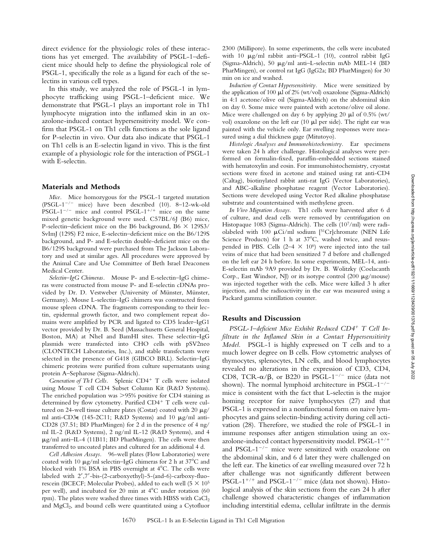direct evidence for the physiologic roles of these interactions has yet emerged. The availability of PSGL-1–deficient mice should help to define the physiological role of PSGL-1, specifically the role as a ligand for each of the selectins in various cell types.

In this study, we analyzed the role of PSGL-1 in lymphocyte trafficking using PSGL-1–deficient mice. We demonstrate that PSGL-1 plays an important role in Th1 lymphocyte migration into the inflamed skin in an oxazolone-induced contact hypersensitivity model. We confirm that PSGL-1 on Th1 cells functions as the sole ligand for P-selectin in vivo. Our data also indicate that PSGL-1 on Th1 cells is an E-selectin ligand in vivo. This is the first example of a physiologic role for the interaction of PSGL-1 with E-selectin.

#### **Materials and Methods**

*Mice.* Mice homozygous for the PSGL-1 targeted mutation (PSGL-1<sup>-/-</sup> mice) have been described (10). 8–12-wk-old PSGL-1<sup>-/-</sup> mice and control PSGL-1<sup>+/+</sup> mice on the same mixed genetic background were used. C57BL/6J (B6) mice, P-selectin–deficient mice on the B6 background, B6  $\times$  129S3/ SvImJ (129S) F2 mice, E-selectin–deficient mice on the B6/129S background, and P- and E-selectin double-deficient mice on the B6/129S background were purchased from The Jackson Laboratory and used at similar ages. All procedures were approved by the Animal Care and Use Committee of Beth Israel Deaconess Medical Center.

*Selectin–IgG Chimeras.* Mouse P- and E-selectin–IgG chimeras were constructed from mouse P- and E-selectin cDNAs provided by Dr. D. Vestweber (University of Münster, Münster, Germany). Mouse L-selectin–IgG chimera was constructed from mouse spleen cDNA. The fragments corresponding to their lectin, epidermal growth factor, and two complement repeat domains were amplified by PCR and ligated to CD5 leader–IgG1 vector provided by Dr. B. Seed (Massachusetts General Hospital, Boston, MA) at NheI and BamHI sites. These selectin–IgG plasmids were transfected into CHO cells with pSV2neo (CLONTECH Laboratories, Inc.), and stable transfectants were selected in the presence of G418 (GIBCO BRL). Selectin–IgG chimeric proteins were purified from culture supernatants using protein A–Sepharose (Sigma-Aldrich).

Generation of Th1 Cells. Splenic CD4<sup>+</sup> T cells were isolated using Mouse T cell CD4 Subset Column Kit (R&D Systems). The enriched population was  $>95\%$  positive for CD4 staining as determined by flow cytometry. Purified  $CD4^+$  T cells were cultured on 24-well tissue culture plates (Costar) coated with 20  $\mu$ g/ ml anti-CD3e (145-2C11; R&D Systems) and 10 mg/ml anti-CD28 (37.51; BD PharMingen) for 2 d in the presence of 4 ng/ ml IL-2 (R&D Systems), 2 ng/ml IL-12 (R&D Systems), and 4  $\mu$ g/ml anti–IL-4 (11B11; BD PharMingen). The cells were then transferred to uncoated plates and cultured for an additional 4 d.

*Cell Adhesion Assays.* 96-well plates (Flow Laboratories) were coated with 10  $\mu$ g/ml selectin–IgG chimeras for 2 h at 37°C and blocked with 1% BSA in PBS overnight at  $4^{\circ}$ C. The cells were labeled with  $2^{\prime},7^{\prime}$ -bis-(2-carboxyethyl)-5-(and-6)-carboxy-fluorescein (BCECF; Molecular Probes), added to each well (5  $\times$  10<sup>5</sup> per well), and incubated for 20 min at  $4^{\circ}$ C under rotation (60 rpm). The plates were washed three times with HBSS with CaCl<sub>2</sub> and  $MgCl<sub>2</sub>$ , and bound cells were quantitated using a Cytofluor

2300 (Millipore). In some experiments, the cells were incubated with 10  $\mu$ g/ml rabbit anti-PSGL-1 (10), control rabbit IgG (Sigma-Aldrich), 50 mg/ml anti–L-selectin mAb MEL-14 (BD PharMingen), or control rat IgG (IgG2a; BD PharMingen) for 30 min on ice and washed.

*Induction of Contact Hypersensitivity.* Mice were sensitized by the application of 100  $\mu$ l of 2% (wt/vol) oxazolone (Sigma-Aldrich) in 4:1 acetone/olive oil (Sigma-Aldrich) on the abdominal skin on day 0. Some mice were painted with acetone/olive oil alone. Mice were challenged on day 6 by applying 20  $\mu$ l of 0.5% (wt/ vol) oxazolone on the left ear  $(10 \mu l)$  per side). The right ear was painted with the vehicle only. Ear swelling responses were measured using a dial thickness gage (Mitutoyo).

*Histologic Analyses and Immunohistochemistry.* Ear specimens were taken 24 h after challenge. Histological analyses were performed on formalin-fixed, paraffin-embedded sections stained with hematoxylin and eosin. For immunohistochemistry, cryostat sections were fixed in acetone and stained using rat anti-CD4 (Caltag), biotinylated rabbit anti-rat IgG (Vector Laboratories), and ABC-alkaline phosphatase reagent (Vector Laboratories). Sections were developed using Vector Red alkaline phosphatase substrate and counterstained with methylene green.

*In Vivo Migration Assays.* Th1 cells were harvested after 6 d of culture, and dead cells were removed by centrifugation on Histopaque 1083 (Sigma-Aldrich). The cells (107/ml) were radiolabeled with 100  $\mu$ Ci/ml sodium [<sup>51</sup>Cr]chromate (NEN Life Science Products) for 1 h at  $37^{\circ}$ C, washed twice, and resuspended in PBS. Cells  $(2-4 \times 10^6)$  were injected into the tail veins of mice that had been sensitized 7 d before and challenged on the left ear 24 h before. In some experiments, MEL-14, anti-E-selectin mAb 9A9 provided by Dr. B. Wolitzky (Coelacanth Corp., East Windsor, NJ) or its isotype control  $(200 \mu g/mouse)$ was injected together with the cells. Mice were killed 3 h after injection, and the radioactivity in the ear was measured using a Packard gamma scintillation counter.

## **Results and Discussion**

*PSGL-1–deficient Mice Exhibit Reduced CD4*1 *T Cell Infiltrate in the Inflamed Skin in a Contact Hypersensitivity Model.* PSGL-1 is highly expressed on T cells and to a much lower degree on B cells. Flow cytometric analyses of thymocytes, splenocytes, LN cells, and blood lymphocytes revealed no alterations in the expression of CD3, CD4, CD8, TCR- $\alpha/\beta$ , or B220 in PSGL-1<sup>-/-</sup> mice (data not shown). The normal lymphoid architecture in  $PSGL-1^{-/-}$ mice is consistent with the fact that L-selectin is the major homing receptor for naive lymphocytes (27) and that PSGL-1 is expressed in a nonfunctional form on naive lymphocytes and gains selectin-binding activity during cell activation (28). Therefore, we studied the role of PSGL-1 in immune responses after antigen stimulation using an oxazolone-induced contact hypersensitivity model.  $PSGL-1^{+/+}$ and PSGL-1 $^{-/-}$  mice were sensitized with oxazolone on the abdominal skin, and 6 d later they were challenged on the left ear. The kinetics of ear swelling measured over 72 h after challenge was not significantly different between PSGL-1<sup>+/+</sup> and PSGL-1<sup>-/-</sup> mice (data not shown). Histological analysis of the skin sections from the ears 24 h after challenge showed characteristic changes of inflammation including interstitial edema, cellular infiltrate in the dermis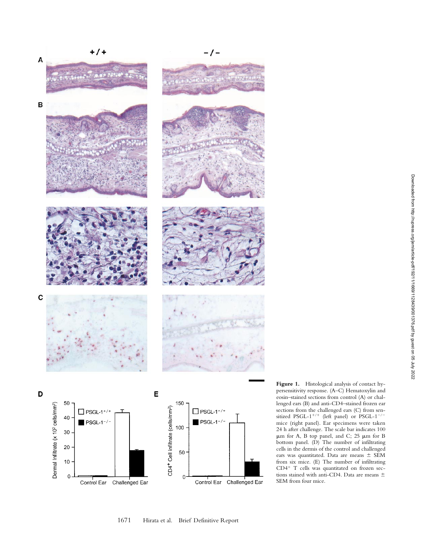

**Figure 1.** Histological analysis of contact hypersensitivity response. (A–C) Hematoxylin and eosin–stained sections from control (A) or challenged ears (B) and anti-CD4–stained frozen ear sections from the challenged ears (C) from sensitized PSGL-1<sup>+/+</sup> (left panel) or PSGL-1<sup>-/-</sup> mice (right panel). Ear specimens were taken 24 h after challenge. The scale bar indicates 100  $\mu$ m for A, B top panel, and C; 25  $\mu$ m for B bottom panel. (D) The number of infiltrating cells in the dermis of the control and challenged ears was quantitated. Data are means  $\pm$  SEM from six mice. (E) The number of infiltrating CD4 1 T cells was quantitated on frozen sections stained with anti-CD4. Data are means  $\pm$ SEM from four mice.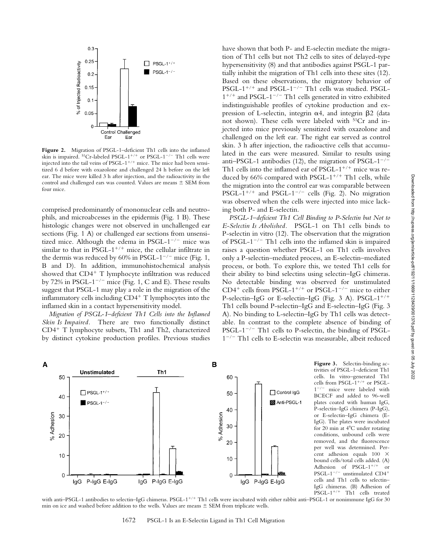

Figure 2. Migration of PSGL-1-deficient Th1 cells into the inflamed skin is impaired.  $51Cr$ -labeled PSGL-1<sup>+/+</sup> or PSGL-1<sup>-/-</sup> Th1 cells were injected into the tail veins of PSGL- $1^{+/+}$  mice. The mice had been sensitized 6 d before with oxazolone and challenged 24 h before on the left ear. The mice were killed 3 h after injection, and the radioactivity in the control and challenged ears was counted. Values are means  $\pm$  SEM from four mice.

comprised predominantly of mononuclear cells and neutrophils, and microabcesses in the epidermis (Fig. 1 B). These histologic changes were not observed in unchallenged ear sections (Fig. 1 A) or challenged ear sections from unsensitized mice. Although the edema in PSGL- $1^{-/-}$  mice was similar to that in PSGL- $1^{+/+}$  mice, the cellular infiltrate in the dermis was reduced by 60% in PSGL-1<sup>-/-</sup> mice (Fig. 1, B and D). In addition, immunohistochemical analysis showed that  $CD4^+$  T lymphocyte infiltration was reduced by 72% in PSGL-1<sup>-/-</sup> mice (Fig. 1, C and E). These results suggest that PSGL-1 may play a role in the migration of the inflammatory cells including  $CD4^+$  T lymphocytes into the inflamed skin in a contact hypersensitivity model.

*Migration of PSGL-1–deficient Th1 Cells into the Inflamed Skin Is Impaired.* There are two functionally distinct  $CD4$ <sup>+</sup> T lymphocyte subsets, Th1 and Th2, characterized by distinct cytokine production profiles. Previous studies

have shown that both P- and E-selectin mediate the migration of Th1 cells but not Th2 cells to sites of delayed-type hypersensitivity (8) and that antibodies against PSGL-1 partially inhibit the migration of Th1 cells into these sites (12). Based on these observations, the migratory behavior of PSGL-1<sup>+/+</sup> and PSGL-1<sup>-/-</sup> Th1 cells was studied. PSGL- $1^{+/+}$  and PSGL-1<sup>-/-</sup> Th1 cells generated in vitro exhibited indistinguishable profiles of cytokine production and expression of L-selectin, integrin  $\alpha$ 4, and integrin  $\beta$ 2 (data not shown). These cells were labeled with 51Cr and injected into mice previously sensitized with oxazolone and challenged on the left ear. The right ear served as control skin. 3 h after injection, the radioactive cells that accumulated in the ears were measured. Similar to results using anti–PSGL-1 antibodies (12), the migration of PSGL- $1^{-/-}$ Th1 cells into the inflamed ear of PSGL- $1^{+/+}$  mice was reduced by 66% compared with PSGL- $1^{+/+}$  Th1 cells, while the migration into the control ear was comparable between PSGL-1<sup>+/+</sup> and PSGL-1<sup>-/-</sup> cells (Fig. 2). No migration was observed when the cells were injected into mice lacking both P- and E-selectin.

*PSGL-1–deficient Th1 Cell Binding to P-Selectin but Not to E-Selectin Is Abolished.* PSGL-1 on Th1 cells binds to P-selectin in vitro (12). The observation that the migration of PSGL- $1^{-/-}$  Th1 cells into the inflamed skin is impaired raises a question whether PSGL-1 on Th1 cells involves only a P-selectin–mediated process, an E-selectin–mediated process, or both. To explore this, we tested Th1 cells for their ability to bind selectins using selectin–IgG chimeras. No detectable binding was observed for unstimulated CD4<sup>+</sup> cells from PSGL-1<sup>+/+</sup> or PSGL-1<sup>-/-</sup> mice to either P-selectin–IgG or E-selectin–IgG (Fig. 3 A). PSGL- $1^{+/+}$ Th1 cells bound P-selectin–IgG and E-selectin–IgG (Fig. 3 A). No binding to L-selectin–IgG by Th1 cells was detectable. In contrast to the complete absence of binding of  $PSGL-1^{-/-}$  Th1 cells to P-selectin, the binding of PSGL- $1^{-/-}$  Th1 cells to E-selectin was measurable, albeit reduced



**Figure 3.** Selectin-binding activities of PSGL-1–deficient Th1 cells. In vitro–generated Th1 cells from PSGL- $1^{+/+}$  or PSGL-<br> $1^{-/-}$  mice were labeled with mice were labeled with BCECF and added to 96-well plates coated with human IgG, P-selectin–IgG chimera (P-IgG), or E-selectin–IgG chimera (E-IgG). The plates were incubated for 20 min at  $4^{\circ}$ C under rotating conditions, unbound cells were removed, and the fluorescence per well was determined. Percent adhesion equals  $100 \times$ bound cells/total cells added. (A) Adhesion of PSGL- $1^{+/+}$  or PSGL-1<sup>-/-</sup> unstimulated CD4<sup>+</sup> cells and Th1 cells to selectin– IgG chimeras. (B) Adhesion of  $PSGL-1$ <sup>+/+</sup> Th1 cells treated

with anti–PSGL-1 antibodies to selectin–IgG chimeras. PSGL-1<sup>+/+</sup> Th1 cells were incubated with either rabbit anti–PSGL-1 or nonimmune IgG for 30 min on ice and washed before addition to the wells. Values are means  $\pm$  SEM from triplicate wells.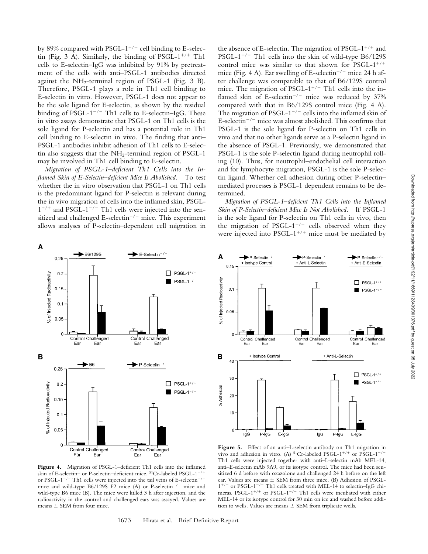by 89% compared with PSGL-1<sup>+/+</sup> cell binding to E-selectin (Fig. 3 A). Similarly, the binding of PSGL- $1^{+/+}$  Th1 cells to E-selectin–IgG was inhibited by 91% by pretreatment of the cells with anti–PSGL-1 antibodies directed against the  $NH_2$ -terminal region of PSGL-1 (Fig. 3 B). Therefore, PSGL-1 plays a role in Th1 cell binding to E-selectin in vitro. However, PSGL-1 does not appear to be the sole ligand for E-selectin, as shown by the residual binding of PSGL-1<sup>-/-</sup> Th1 cells to E-selectin–IgG. These in vitro assays demonstrate that PSGL-1 on Th1 cells is the sole ligand for P-selectin and has a potential role in Th1 cell binding to E-selectin in vivo. The finding that anti– PSGL-1 antibodies inhibit adhesion of Th1 cells to E-selectin also suggests that the NH<sub>2</sub>-terminal region of PSGL-1 may be involved in Th1 cell binding to E-selectin.

*Migration of PSGL-1–deficient Th1 Cells into the Inflamed Skin of E-Selectin–deficient Mice Is Abolished.* To test whether the in vitro observation that PSGL-1 on Th1 cells is the predominant ligand for P-selectin is relevant during the in vivo migration of cells into the inflamed skin, PSGL- $1^{+/+}$  and PSGL-1<sup>-/-</sup> Th1 cells were injected into the sensitized and challenged E-selectin<sup>-/-</sup> mice. This experiment allows analyses of P-selectin–dependent cell migration in



**Figure 4.** Migration of PSGL-1–deficient Th1 cells into the inflamed skin of E-selectin- or P-selectin-deficient mice. <sup>51</sup>Cr-labeled PSGL-1<sup>+/+</sup> or PSGL-1<sup>-/-</sup> Th1 cells were injected into the tail veins of E-selectin<sup>-/-</sup> mice and wild-type B6/129S F2 mice (A) or P-selectin<sup>-/-</sup> mice and wild-type B6 mice (B). The mice were killed 3 h after injection, and the radioactivity in the control and challenged ears was assayed. Values are means  $\pm$  SEM from four mice.

the absence of E-selectin. The migration of PSGL- $1^{+/+}$  and PSGL-1<sup>-/-</sup> Th1 cells into the skin of wild-type B6/129S control mice was similar to that shown for PSGL- $1^{+/+}$ mice (Fig. 4 A). Ear swelling of E-selectin<sup>-/-</sup> mice 24 h after challenge was comparable to that of B6/129S control mice. The migration of PSGL- $1^{+/+}$  Th1 cells into the inflamed skin of E-selectin<sup>-/-</sup> mice was reduced by  $37%$ compared with that in B6/129S control mice (Fig. 4 A). The migration of PSGL-1<sup>-/-</sup> cells into the inflamed skin of E-selectin<sup>-/-</sup> mice was almost abolished. This confirms that PSGL-1 is the sole ligand for P-selectin on Th1 cells in vivo and that no other ligands serve as a P-selectin ligand in the absence of PSGL-1. Previously, we demonstrated that PSGL-1 is the sole P-selectin ligand during neutrophil rolling (10). Thus, for neutrophil–endothelial cell interaction and for lymphocyte migration, PSGL-1 is the sole P-selectin ligand. Whether cell adhesion during other P-selectin– mediated processes is PSGL-1 dependent remains to be determined.

*Migration of PSGL-1–deficient Th1 Cells into the Inflamed Skin of P-Selectin–deficient Mice Is Not Abolished.* If PSGL-1 is the sole ligand for P-selectin on Th1 cells in vivo, then the migration of PSGL-1<sup>-/-</sup> cells observed when they were injected into PSGL- $1^{+/+}$  mice must be mediated by



Figure 5. Effect of an anti-L-selectin antibody on Th1 migration in vivo and adhesion in vitro. (A)  $51Cr$ -labeled PSGL-1<sup>+/+</sup> or PSGL-1<sup>-/-</sup> Th1 cells were injected together with anti–L-selectin mAb MEL-14, anti–E-selectin mAb 9A9, or its isotype control. The mice had been sensitized 6 d before with oxazolone and challenged 24 h before on the left ear. Values are means  $\pm$  SEM from three mice. (B) Adhesion of PSGL- $1^{+/+}$  or PSGL-1<sup>-/-</sup> Th1 cells treated with MEL-14 to selectin–IgG chimeras. PSGL-1<sup>+/+</sup> or PSGL-1<sup>-/-</sup> Th1 cells were incubated with either MEL-14 or its isotype control for 30 min on ice and washed before addition to wells. Values are means  $\pm$  SEM from triplicate wells.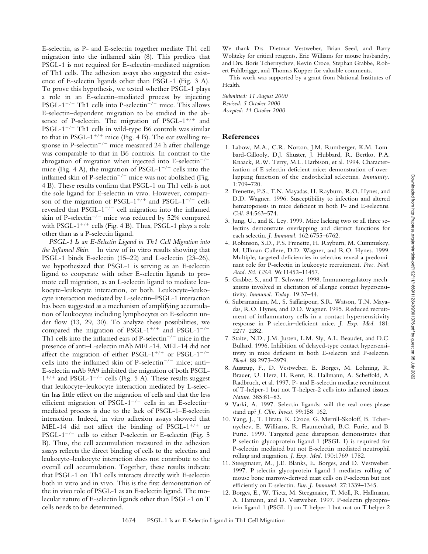Downloaded from http://rupress.org/jem/article-pdf/192/11/1669/1128439/001376.pdf by guest on 05 July 2022

E-selectin, as P- and E-selectin together mediate Th1 cell migration into the inflamed skin (8). This predicts that PSGL-1 is not required for E-selectin–mediated migration of Th1 cells. The adhesion assays also suggested the existence of E-selectin ligands other than PSGL-1 (Fig. 3 A). To prove this hypothesis, we tested whether PSGL-1 plays a role in an E-selectin–mediated process by injecting PSGL-1<sup>-/-</sup> Th1 cells into P-selectin<sup>-/-</sup> mice. This allows E-selectin–dependent migration to be studied in the absence of P-selectin. The migration of PSGL- $1^{+/+}$  and PSGL-1 $^{-/-}$  Th1 cells in wild-type B6 controls was similar to that in PSGL-1<sup>+/+</sup> mice (Fig. 4 B). The ear swelling response in P-selectin<sup>-/-</sup> mice measured 24 h after challenge was comparable to that in B6 controls. In contrast to the abrogation of migration when injected into  $E$ -selectin<sup>-/-</sup> mice (Fig. 4 A), the migration of PSGL- $1^{-/-}$  cells into the inflamed skin of P-selectin<sup>-/-</sup> mice was not abolished (Fig. 4 B). These results confirm that PSGL-1 on Th1 cells is not the sole ligand for E-selectin in vivo. However, comparison of the migration of PSGL-1<sup>+/+</sup> and PSGL-1<sup>-/-</sup> cells revealed that PSGL- $1^{-/-}$  cell migration into the inflamed skin of P-selectin<sup>-/-</sup> mice was reduced by 52% compared with PSGL- $1^{+/+}$  cells (Fig. 4 B). Thus, PSGL-1 plays a role other than as a P-selectin ligand.

*PSGL-1 Is an E-Selectin Ligand in Th1 Cell Migration into the Inflamed Skin.* In view of in vitro results showing that PSGL-1 binds E-selectin (15–22) and L-selectin (23–26), we hypothesized that PSGL-1 is serving as an E-selectin ligand to cooperate with other E-selectin ligands to promote cell migration, as an L-selectin ligand to mediate leukocyte–leukocyte interaction, or both. Leukocyte–leukocyte interaction mediated by L-selectin–PSGL-1 interaction has been suggested as a mechanism of amplifying accumulation of leukocytes including lymphocytes on E-selectin under flow (13, 29, 30). To analyze these possibilities, we compared the migration of PSGL-1<sup>+/+</sup> and PSGL-1<sup>-/-</sup> Th1 cells into the inflamed ears of P-selectin<sup>-/-</sup> mice in the presence of anti–L-selectin mAb MEL-14. MEL-14 did not affect the migration of either PSGL-1<sup>+/+</sup> or PSGL-1<sup>-/-</sup> cells into the inflamed skin of P-selectin<sup>-/-</sup> mice; anti-E-selectin mAb 9A9 inhibited the migration of both PSGL- $1^{+/+}$  and PSGL-1<sup>-/-</sup> cells (Fig. 5 A). These results suggest that leukocyte–leukocyte interaction mediated by L-selectin has little effect on the migration of cells and that the less efficient migration of PSGL-1<sup>-/-</sup> cells in an E-selectin– mediated process is due to the lack of PSGL-1–E-selectin interaction. Indeed, in vitro adhesion assays showed that MEL-14 did not affect the binding of PSGL- $1^{+/+}$  or PSGL-1<sup>-/-</sup> cells to either P-selectin or E-selectin (Fig. 5) B). Thus, the cell accumulation measured in the adhesion assays reflects the direct binding of cells to the selectins and leukocyte–leukocyte interaction does not contribute to the overall cell accumulation. Together, these results indicate that PSGL-1 on Th1 cells interacts directly with E-selectin both in vitro and in vivo. This is the first demonstration of the in vivo role of PSGL-1 as an E-selectin ligand. The molecular nature of E-selectin ligands other than PSGL-1 on T cells needs to be determined.

We thank Drs. Dietmar Vestweber, Brian Seed, and Barry Wolitzky for critical reagents, Eric Williams for mouse husbandry, and Drs. Boris Tchernychev, Kevin Croce, Stephan Grabbe, Robert Fuhlbrigge, and Thomas Kupper for valuable comments.

This work was supported by a grant from National Institutes of Health.

*Submitted: 11 August 2000 Revised: 5 October 2000 Accepted: 11 October 2000*

### **References**

- 1. Labow, M.A., C.R. Norton, J.M. Rumberger, K.M. Lombard-Gillooly, D.J. Shuster, J. Hubbard, R. Bertko, P.A. Knaack, R.W. Terry, M.L. Harbison, et al. 1994. Characterization of E-selectin-deficient mice: demonstration of overlapping function of the endothelial selectins. *Immunity.* 1:709–720.
- 2. Frenette, P.S., T.N. Mayadas, H. Rayburn, R.O. Hynes, and D.D. Wagner. 1996. Susceptibility to infection and altered hematopoiesis in mice deficient in both P- and E-selectins. *Cell.* 84:563–574.
- 3. Jung, U., and K. Ley. 1999. Mice lacking two or all three selectins demonstrate overlapping and distinct functions for each selectin. *J. Immunol.* 162:6755–6762.
- 4. Robinson, S.D., P.S. Frenette, H. Rayburn, M. Cummiskey, M. Ullman-Cullere, D.D. Wagner, and R.O. Hynes. 1999. Multiple, targeted deficiencies in selectins reveal a predominant role for P-selectin in leukocyte recruitment. *Proc. Natl. Acad. Sci. USA.* 96:11452–11457.
- 5. Grabbe, S., and T. Schwarz. 1998. Immunoregulatory mechanisms involved in elicitation of allergic contact hypersensitivity. *Immunol. Today.* 19:37–44.
- 6. Subramaniam, M., S. Saffaripour, S.R. Watson, T.N. Mayadas, R.O. Hynes, and D.D. Wagner. 1995. Reduced recruitment of inflammatory cells in a contact hypersensitivity response in P-selectin–deficient mice. *J. Exp. Med.* 181: 2277–2282.
- 7. Staite, N.D., J.M. Justen, L.M. Sly, A.L. Beaudet, and D.C. Bullard. 1996. Inhibition of delayed-type contact hypersensitivity in mice deficient in both E-selectin and P-selectin. *Blood.* 88:2973–2979.
- 8. Austrup, F., D. Vestweber, E. Borges, M. Lohning, R. Brauer, U. Herz, H. Renz, R. Hallmann, A. Scheffold, A. Radbruch, et al. 1997. P- and E-selectin mediate recruitment of T-helper-1 but not T-helper-2 cells into inflamed tissues. *Nature.* 385:81–83.
- 9. Varki, A. 1997. Selectin ligands: will the real ones please stand up? *J. Clin. Invest.* 99:158–162.
- 10. Yang, J., T. Hirata, K. Croce, G. Merrill-Skoloff, B. Tchernychev, E. Williams, R. Flaumenhaft, B.C. Furie, and B. Furie. 1999. Targeted gene disruption demonstrates that P-selectin glycoprotein ligand 1 (PSGL-1) is required for P-selectin–mediated but not E-selectin–mediated neutrophil rolling and migration. *J. Exp. Med.* 190:1769–1782.
- 11. Steegmaier, M., J.E. Blanks, E. Borges, and D. Vestweber. 1997. P-selectin glycoprotein ligand-1 mediates rolling of mouse bone marrow-derived mast cells on P-selectin but not efficiently on E-selectin. *Eur. J. Immunol.* 27:1339–1345.
- 12. Borges, E., W. Tietz, M. Steegmaier, T. Moll, R. Hallmann, A. Hamann, and D. Vestweber. 1997. P-selectin glycoprotein ligand-1 (PSGL-1) on T helper 1 but not on T helper 2